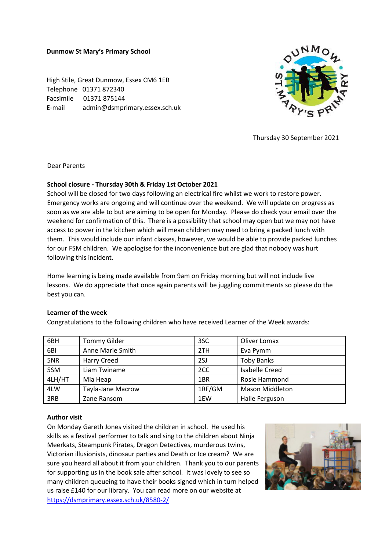#### **Dunmow St Mary's Primary School**

High Stile, Great Dunmow, Essex CM6 1EB Telephone 01371 872340 Facsimile 01371 875144 E-mail admin@dsmprimary.essex.sch.uk



Thursday 30 September 2021

Dear Parents

## **School closure - Thursday 30th & Friday 1st October 2021**

School will be closed for two days following an electrical fire whilst we work to restore power. Emergency works are ongoing and will continue over the weekend. We will update on progress as soon as we are able to but are aiming to be open for Monday. Please do check your email over the weekend for confirmation of this. There is a possibility that school may open but we may not have access to power in the kitchen which will mean children may need to bring a packed lunch with them. This would include our infant classes, however, we would be able to provide packed lunches for our FSM children. We apologise for the inconvenience but are glad that nobody was hurt following this incident.

Home learning is being made available from 9am on Friday morning but will not include live lessons. We do appreciate that once again parents will be juggling commitments so please do the best you can.

#### **Learner of the week**

Congratulations to the following children who have received Learner of the Week awards:

| 6BH    | <b>Tommy Gilder</b> | 3SC    | Oliver Lomax           |
|--------|---------------------|--------|------------------------|
| 6BI    | Anne Marie Smith    | 2TH    | Eva Pymm               |
| 5NR    | Harry Creed         | 2SJ    | <b>Toby Banks</b>      |
| 5SM    | Liam Twiname        | 2CC    | <b>Isabelle Creed</b>  |
| 4LH/HT | Mia Heap            | 1BR    | Rosie Hammond          |
| 4LW    | Tayla-Jane Macrow   | 1RF/GM | <b>Mason Middleton</b> |
| 3RB    | Zane Ransom         | 1EW    | Halle Ferguson         |

### **Author visit**

On Monday Gareth Jones visited the children in school. He used his skills as a festival performer to talk and sing to the children about Ninja Meerkats, Steampunk Pirates, Dragon Detectives, murderous twins, Victorian illusionists, dinosaur parties and Death or Ice cream? We are sure you heard all about it from your children. Thank you to our parents for supporting us in the book sale after school. It was lovely to see so many children queueing to have their books signed which in turn helped us raise £140 for our library. You can read more on our website at https://dsmprimary.essex.sch.uk/8580-2/

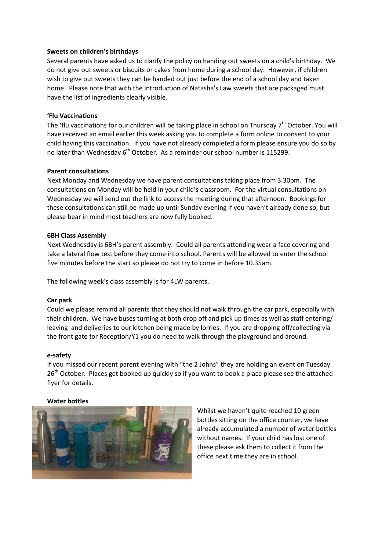### **Sweets on children's birthdays**

Several parents have asked us to clarify the policy on handing out sweets on a child's birthday. We do not give out sweets or biscuits or cakes from home during a school day. However, if children wish to give out sweets they can be handed out just before the end of a school day and taken home. Please note that with the introduction of Natasha's Law sweets that are packaged must have the list of ingredients clearly visible.

## **'Flu Vaccinations**

The 'flu vaccinations for our children will be taking place in school on Thursday  $7<sup>th</sup>$  October. You will have received an email earlier this week asking you to complete a form online to consent to your child having this vaccination. If you have not already completed a form please ensure you do so by no later than Wednesday  $6<sup>th</sup>$  October. As a reminder our school number is 115299.

## **Parent consultations**

Next Monday and Wednesday we have parent consultations taking place from 3.30pm. The consultations on Monday will be held in your child's classroom. For the virtual consultations on Wednesday we will send out the link to access the meeting during that afternoon. Bookings for these consultations can still be made up until Sunday evening if you haven't already done so, but please bear in mind most teachers are now fully booked.

## **6BH Class Assembly**

Next Wednesday is 6BH's parent assembly. Could all parents attending wear a face covering and take a lateral flow test before they come into school. Parents will be allowed to enter the school five minutes before the start so please do not try to come in before 10.35am.

The following week's class assembly is for 4LW parents.

### **Car park**

Could we please remind all parents that they should not walk through the car park, especially with their children. We have buses turning at both drop off and pick up times as well as staff entering/ leaving and deliveries to our kitchen being made by lorries. If you are dropping off/collecting via the front gate for Reception/Y1 you do need to walk through the playground and around.

# **e-safety**

If you missed our recent parent evening with "the 2 Johns" they are holding an event on Tuesday 26<sup>th</sup> October. Places get booked up quickly so if you want to book a place please see the attached flyer for details.

### **Water bottles**



Whilst we haven't quite reached 10 green bottles sitting on the office counter, we have already accumulated a number of water bottles without names. If your child has lost one of these please ask them to collect it from the office next time they are in school.